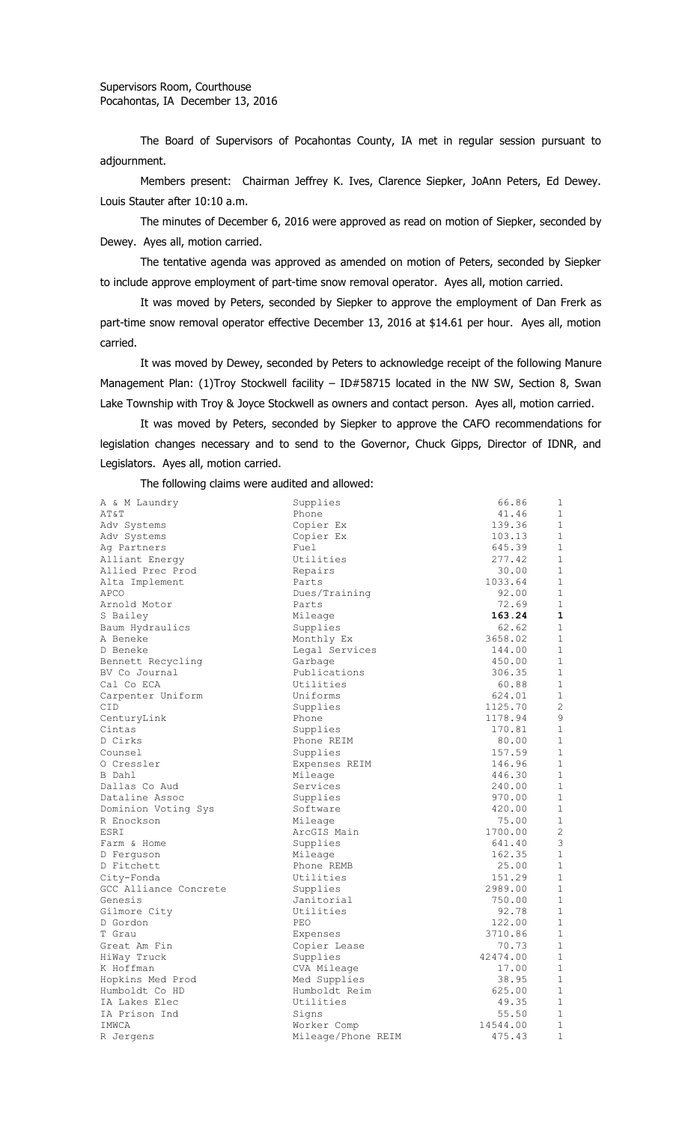The Board of Supervisors of Pocahontas County, IA met in regular session pursuant to adjournment.

Members present: Chairman Jeffrey K. Ives, Clarence Siepker, JoAnn Peters, Ed Dewey. Louis Stauter after 10:10 a.m.

The minutes of December 6, 2016 were approved as read on motion of Siepker, seconded by Dewey. Ayes all, motion carried.

The tentative agenda was approved as amended on motion of Peters, seconded by Siepker to include approve employment of part-time snow removal operator. Ayes all, motion carried.

It was moved by Peters, seconded by Siepker to approve the employment of Dan Frerk as part-time snow removal operator effective December 13, 2016 at \$14.61 per hour. Ayes all, motion carried.

It was moved by Dewey, seconded by Peters to acknowledge receipt of the following Manure Management Plan: (1)Troy Stockwell facility - ID#58715 located in the NW SW, Section 8, Swan Lake Township with Troy & Joyce Stockwell as owners and contact person. Ayes all, motion carried.

It was moved by Peters, seconded by Siepker to approve the CAFO recommendations for legislation changes necessary and to send to the Governor, Chuck Gipps, Director of IDNR, and Legislators. Ayes all, motion carried.

The following claims were audited and allowed:

| A & M Laundry         | Supplies           | 66.86    | $\mathbf{1}$ |
|-----------------------|--------------------|----------|--------------|
| AT&T                  | Phone              | 41.46    | $\mathbf 1$  |
| Adv Systems           | Copier Ex          | 139.36   | $\mathbf 1$  |
| Adv Systems           | Copier Ex          | 103.13   | $\mathbf 1$  |
| Ag Partners           | Fuel               | 645.39   | $\mathbf{1}$ |
| Alliant Energy        | Utilities          | 277.42   | $\mathbf 1$  |
| Allied Prec Prod      | Repairs            | 30.00    | $\mathbf{1}$ |
| Alta Implement        | Parts              | 1033.64  | $\mathbf 1$  |
| APCO                  | Dues/Training      | 92.00    | $\mathbf 1$  |
| Arnold Motor          | Parts              | 72.69    | $\mathbf{1}$ |
| S Bailey              | Mileage            | 163.24   | 1            |
| Baum Hydraulics       | Supplies           | 62.62    | $\mathbf{1}$ |
| A Beneke              | Monthly Ex         | 3658.02  | $\mathbf{1}$ |
| D Beneke              | Legal Services     | 144.00   | $\mathbf{1}$ |
| Bennett Recycling     | Garbage            | 450.00   | $\mathbf{1}$ |
| BV Co Journal         | Publications       | 306.35   | $\mathbf{1}$ |
| Cal Co ECA            | Utilities          | 60.88    | 1            |
| Carpenter Uniform     | Uniforms           | 624.01   | $\mathbf{1}$ |
| CID                   | Supplies           | 1125.70  | $\mathbf{2}$ |
| CenturyLink           | Phone              | 1178.94  | 9            |
| Cintas                | Supplies           | 170.81   | $\mathbf 1$  |
| D Cirks               | Phone REIM         | 80.00    | $\mathbf 1$  |
| Counsel               | Supplies           | 157.59   | $\mathbf{1}$ |
| O Cressler            | Expenses REIM      | 146.96   | $\mathbf 1$  |
| B Dahl                | Mileage            | 446.30   | $\mathbf{1}$ |
| Dallas Co Aud         | Services           | 240.00   | $\mathbf{1}$ |
| Dataline Assoc        | Supplies           | 970.00   | $\mathbf 1$  |
| Dominion Voting Sys   | Software           | 420.00   | $\mathbf 1$  |
| R Enockson            | Mileage            | 75.00    | $\mathbf{1}$ |
| ESRI                  | ArcGIS Main        | 1700.00  | $\mathbf{2}$ |
| Farm & Home           | Supplies           | 641.40   | 3            |
| D Ferquson            | Mileage            | 162.35   | $\mathbf{1}$ |
| D Fitchett            | Phone REMB         | 25.00    | 1            |
| City-Fonda            | Utilities          | 151.29   | $\mathbf{1}$ |
| GCC Alliance Concrete | Supplies           | 2989.00  | 1            |
| Genesis               | Janitorial         | 750.00   | $\mathbf{1}$ |
| Gilmore City          | Utilities          | 92.78    | $\mathbf 1$  |
| D Gordon              | PEO                | 122.00   | $\mathbf 1$  |
| T Grau                | Expenses           | 3710.86  | $\mathbf{1}$ |
| Great Am Fin          | Copier Lease       | 70.73    | $\mathbf{1}$ |
| HiWay Truck           | Supplies           | 42474.00 | $\mathbf 1$  |
| K Hoffman             | CVA Mileage        | 17.00    | $\mathbf 1$  |
| Hopkins Med Prod      | Med Supplies       | 38.95    | $\mathbf{1}$ |
| Humboldt Co HD        | Humboldt Reim      | 625.00   | $\mathbf{1}$ |
| IA Lakes Elec         | Utilities          | 49.35    | 1            |
| IA Prison Ind         | Signs              | 55.50    | $\mathbf 1$  |
| IMWCA                 | Worker Comp        | 14544.00 | 1            |
| R Jergens             | Mileage/Phone REIM | 475.43   | $\mathbf 1$  |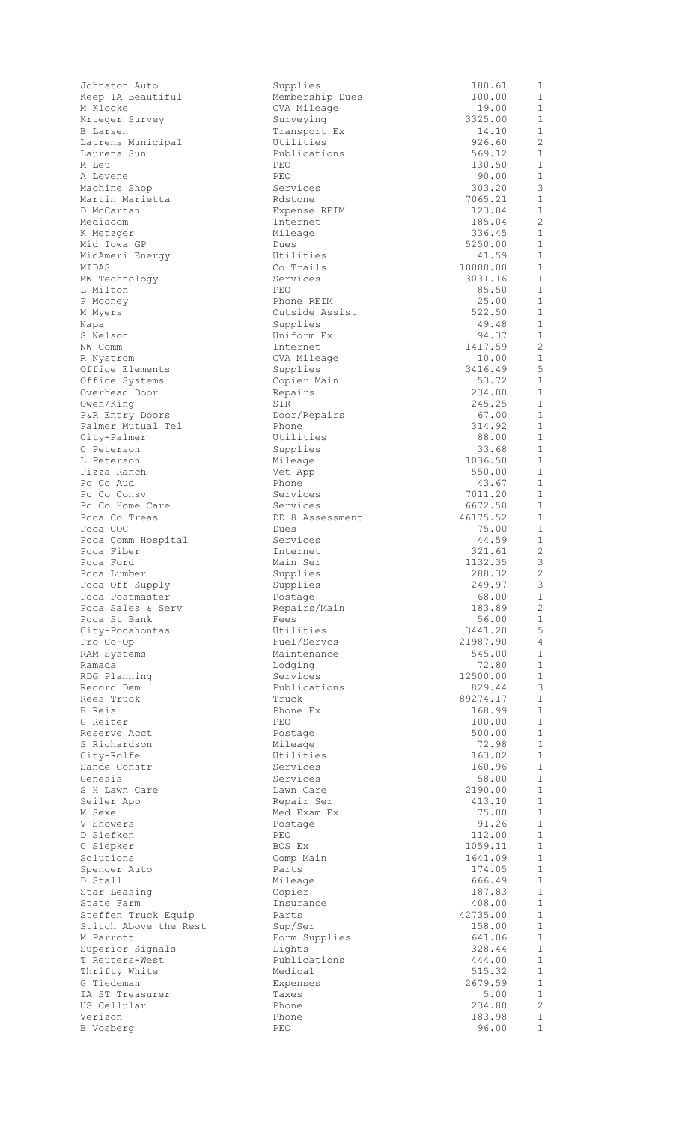| Johnston Auto                  | Supplies                  | 180.61             | $\mathbf{1}$                 |
|--------------------------------|---------------------------|--------------------|------------------------------|
| Keep IA Beautiful              | Membership Dues           | 100.00             | 1                            |
| M Klocke                       | CVA Mileage               | 19.00              | $\mathbf 1$<br>$\mathbf{1}$  |
| Krueger Survey<br>B Larsen     | Surveying<br>Transport Ex | 3325.00<br>14.10   | $\mathbf{1}$                 |
| Laurens Municipal              | Utilities                 | 926.60             | $\mathbf{2}$                 |
| Laurens Sun                    | Publications              | 569.12             | $\mathbf{1}$                 |
| M Leu                          | PEO                       | 130.50             | $\mathbf 1$                  |
| A Levene                       | PEO                       | 90.00              | $\mathbf 1$                  |
| Machine Shop                   | Services                  | 303.20             | 3                            |
| Martin Marietta                | Rdstone                   | 7065.21            | $\mathbf{1}$                 |
| D McCartan                     | Expense REIM              | 123.04             | $\mathbf{1}$                 |
| Mediacom                       | Internet                  | 185.04             | $\overline{2}$               |
| K Metzger                      | Mileage                   | 336.45             | $\mathbf{1}$                 |
| Mid Iowa GP                    | Dues                      | 5250.00            | $\mathbf{1}$                 |
| MidAmeri Energy                | Utilities                 | 41.59              | $\mathbf 1$                  |
| MIDAS                          | Co Trails                 | 10000.00           | $\mathbf 1$                  |
| MW Technology                  | Services<br><b>PEO</b>    | 3031.16            | $\mathbf{1}$<br>$\mathbf{1}$ |
| L Milton                       | Phone REIM                | 85.50<br>25.00     | $\mathbf{1}$                 |
| P Mooney<br>M Myers            | Outside Assist            | 522.50             | $\mathbf{1}$                 |
| Napa                           | Supplies                  | 49.48              | $\mathbf{1}$                 |
| S Nelson                       | Uniform Ex                | 94.37              | $\mathbf{1}$                 |
| NW Comm                        | Internet                  | 1417.59            | 2                            |
| R Nystrom                      | CVA Mileage               | 10.00              | $\mathbf 1$                  |
| Office Elements                | Supplies                  | 3416.49            | $\mathsf S$                  |
| Office Systems                 | Copier Main               | 53.72              | $\mathbf{1}$                 |
| Overhead Door                  | Repairs                   | 234.00             | $\mathbf{1}$                 |
| Owen/King                      | SIR                       | 245.25             | $\mathbf 1$                  |
| P&R Entry Doors                | Door/Repairs              | 67.00              | $\mathbf{1}$                 |
| Palmer Mutual Tel              | Phone                     | 314.92             | $\mathbf 1$                  |
| City-Palmer                    | Utilities                 | 88.00              | $\mathbf{1}$                 |
| C Peterson                     | Supplies                  | 33.68              | $\mathbf{1}$                 |
| L Peterson                     | Mileage                   | 1036.50            | $\mathbf{1}$                 |
| Pizza Ranch                    | Vet App                   | 550.00             | $\mathbf{1}$                 |
| Po Co Aud                      | Phone                     | 43.67              | $\mathbf 1$<br>$\mathbf{1}$  |
| Po Co Consv<br>Po Co Home Care | Services<br>Services      | 7011.20<br>6672.50 | $\mathbf{1}$                 |
| Poca Co Treas                  | DD 8 Assessment           | 46175.52           | $\mathbf 1$                  |
| Poca COC                       | Dues                      | 75.00              | $1\,$                        |
| Poca Comm Hospital             | Services                  | 44.59              | $\mathbf 1$                  |
| Poca Fiber                     | Internet                  | 321.61             | 2                            |
| Poca Ford                      | Main Ser                  | 1132.35            | $\mathfrak{Z}$               |
| Poca Lumber                    | Supplies                  | 288.32             | $\overline{2}$               |
| Poca Off Supply                | Supplies                  | 249.97             | 3                            |
| Poca Postmaster                | Postage                   | 68.00              | $\mathbf 1$                  |
| Poca Sales & Serv              | Repairs/Main              | 183.89             | $\mathbf{2}$                 |
| Poca St Bank                   | Fees                      | 56.00              | $\mathbf{1}$                 |
| City-Pocahontas                | Utilities                 | 3441.20            | 5                            |
| Pro Co-Op                      | Fuel/Servcs               | 21987.90           | $\overline{4}$               |
| RAM Systems                    | Maintenance               | 545.00             | $\mathbf 1$                  |
| Ramada                         | Lodging                   | 72.80              | 1                            |
| RDG Planning<br>Record Dem     | Services<br>Publications  | 12500.00<br>829.44 | $\mathbf{1}$<br>$\mathsf 3$  |
| Rees Truck                     | Truck                     | 89274.17           | $1\,$                        |
| B Reis                         | Phone Ex                  | 168.99             | $\mathbf 1$                  |
| G Reiter                       | <b>PEO</b>                | 100.00             | $\mathbf{1}$                 |
| Reserve Acct                   | Postage                   | 500.00             | $\mathbf{1}$                 |
| S Richardson                   | Mileage                   | 72.98              | $\mathbf{1}$                 |
| City-Rolfe                     | Utilities                 | 163.02             | $\mathbf{1}$                 |
| Sande Constr                   | Services                  | 160.96             | $\mathbf{1}$                 |
| Genesis                        | Services                  | 58.00              | $\mathbf{1}$                 |
| S H Lawn Care                  | Lawn Care                 | 2190.00            | $\mathbf{1}$                 |
| Seiler App                     | Repair Ser                | 413.10             | $\mathbf{1}$                 |
| M Sexe                         | Med Exam Ex               | 75.00              | $\mathbf{1}$                 |
| V Showers                      | Postage                   | 91.26              | $\mathbf 1$                  |
| D Siefken                      | PEO                       | 112.00             | $\mathbf{1}$                 |
| C Siepker                      | BOS Ex                    | 1059.11            | $\mathbf{1}$                 |
| Solutions                      | Comp Main                 | 1641.09            | $\mathbf 1$<br>$\mathbf{1}$  |
| Spencer Auto<br>D Stall        | Parts<br>Mileage          | 174.05<br>666.49   | $\mathbf{1}$                 |
| Star Leasing                   | Copier                    | 187.83             | $\mathbf{1}$                 |
| State Farm                     | Insurance                 | 408.00             | $\mathbf{1}$                 |
| Steffen Truck Equip            | Parts                     | 42735.00           | $\mathbf{1}$                 |
| Stitch Above the Rest          | Sup/Ser                   | 158.00             | $\mathbf{1}$                 |
| M Parrott                      | Form Supplies             | 641.06             | $\mathbf 1$                  |
| Superior Signals               |                           | 328.44             | $\mathbf{1}$                 |
|                                | Lights                    |                    |                              |
| T Reuters-West                 | Publications              | 444.00             | $\mathbf{1}$                 |
| Thrifty White                  | Medical                   | 515.32             | $\mathbf 1$                  |
| G Tiedeman                     | Expenses                  | 2679.59            | $\mathbf{1}$                 |
| IA ST Treasurer                | Taxes                     | 5.00               | $\mathbf{1}$                 |
| US Cellular                    | Phone                     | 234.80             | 2                            |
| Verizon<br>B Vosberg           | Phone<br>PEO              | 183.98<br>96.00    | $1\,$<br>$\mathbf{1}$        |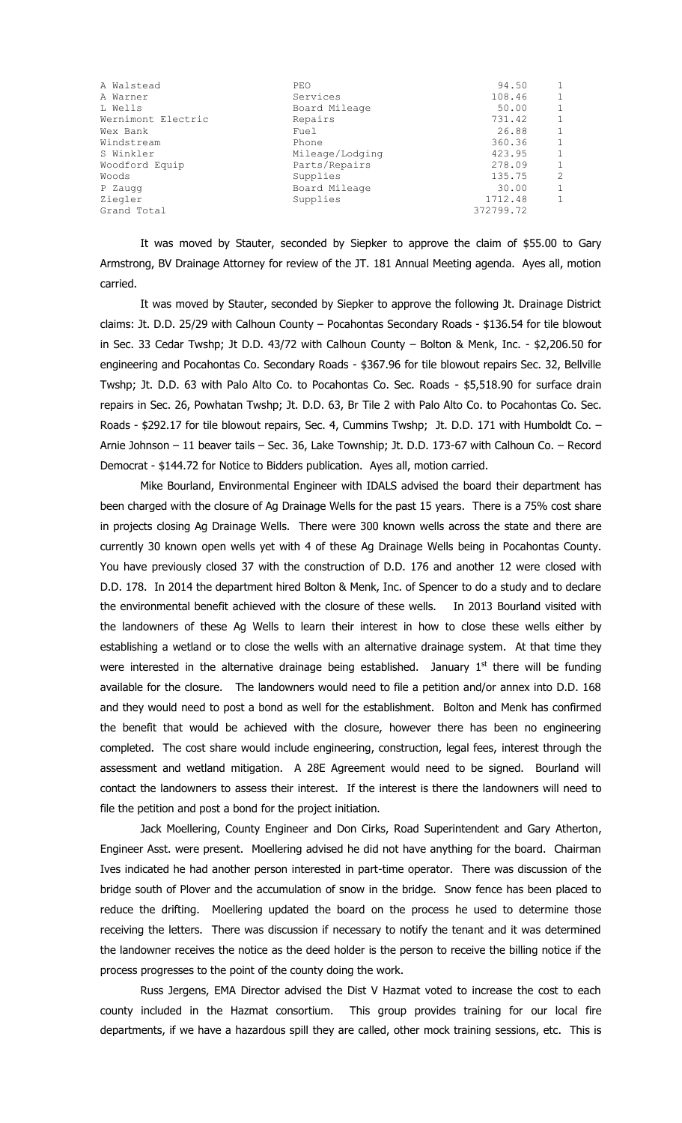| A Walstead         | PEO             | 94.50     | 1            |
|--------------------|-----------------|-----------|--------------|
| A Warner           | Services        | 108.46    | $\mathbf{1}$ |
| L Wells            | Board Mileage   | 50.00     | $\mathbf{1}$ |
| Wernimont Electric | Repairs         | 731.42    | $\mathbf{1}$ |
| Wex Bank           | Fuel            | 26.88     | $\mathbf{1}$ |
| Windstream         | Phone           | 360.36    | $\mathbf{1}$ |
| S Winkler          | Mileage/Lodging | 423.95    | $\mathbf{1}$ |
| Woodford Equip     | Parts/Repairs   | 278.09    | $\mathbf{1}$ |
| Woods              | Supplies        | 135.75    | 2            |
| P Zaugg            | Board Mileage   | 30.00     | $\mathbf{1}$ |
| Ziegler            | Supplies        | 1712.48   | $\mathbf{1}$ |
| Grand Total        |                 | 372799.72 |              |

It was moved by Stauter, seconded by Siepker to approve the claim of \$55.00 to Gary Armstrong, BV Drainage Attorney for review of the JT. 181 Annual Meeting agenda. Ayes all, motion carried.

It was moved by Stauter, seconded by Siepker to approve the following Jt. Drainage District claims: Jt. D.D. 25/29 with Calhoun County – Pocahontas Secondary Roads - \$136.54 for tile blowout in Sec. 33 Cedar Twshp; Jt D.D. 43/72 with Calhoun County – Bolton & Menk, Inc. - \$2,206.50 for engineering and Pocahontas Co. Secondary Roads - \$367.96 for tile blowout repairs Sec. 32, Bellville Twshp; Jt. D.D. 63 with Palo Alto Co. to Pocahontas Co. Sec. Roads - \$5,518.90 for surface drain repairs in Sec. 26, Powhatan Twshp; Jt. D.D. 63, Br Tile 2 with Palo Alto Co. to Pocahontas Co. Sec. Roads - \$292.17 for tile blowout repairs, Sec. 4, Cummins Twshp; Jt. D.D. 171 with Humboldt Co. -Arnie Johnson – 11 beaver tails – Sec. 36, Lake Township; Jt. D.D. 173-67 with Calhoun Co. – Record Democrat - \$144.72 for Notice to Bidders publication. Ayes all, motion carried.

Mike Bourland, Environmental Engineer with IDALS advised the board their department has been charged with the closure of Ag Drainage Wells for the past 15 years. There is a 75% cost share in projects closing Ag Drainage Wells. There were 300 known wells across the state and there are currently 30 known open wells yet with 4 of these Ag Drainage Wells being in Pocahontas County. You have previously closed 37 with the construction of D.D. 176 and another 12 were closed with D.D. 178. In 2014 the department hired Bolton & Menk, Inc. of Spencer to do a study and to declare the environmental benefit achieved with the closure of these wells. In 2013 Bourland visited with the landowners of these Ag Wells to learn their interest in how to close these wells either by establishing a wetland or to close the wells with an alternative drainage system. At that time they were interested in the alternative drainage being established. January  $1<sup>st</sup>$  there will be funding available for the closure. The landowners would need to file a petition and/or annex into D.D. 168 and they would need to post a bond as well for the establishment. Bolton and Menk has confirmed the benefit that would be achieved with the closure, however there has been no engineering completed. The cost share would include engineering, construction, legal fees, interest through the assessment and wetland mitigation. A 28E Agreement would need to be signed. Bourland will contact the landowners to assess their interest. If the interest is there the landowners will need to file the petition and post a bond for the project initiation.

Jack Moellering, County Engineer and Don Cirks, Road Superintendent and Gary Atherton, Engineer Asst. were present. Moellering advised he did not have anything for the board. Chairman Ives indicated he had another person interested in part-time operator. There was discussion of the bridge south of Plover and the accumulation of snow in the bridge. Snow fence has been placed to reduce the drifting. Moellering updated the board on the process he used to determine those receiving the letters. There was discussion if necessary to notify the tenant and it was determined the landowner receives the notice as the deed holder is the person to receive the billing notice if the process progresses to the point of the county doing the work.

Russ Jergens, EMA Director advised the Dist V Hazmat voted to increase the cost to each county included in the Hazmat consortium. This group provides training for our local fire departments, if we have a hazardous spill they are called, other mock training sessions, etc. This is